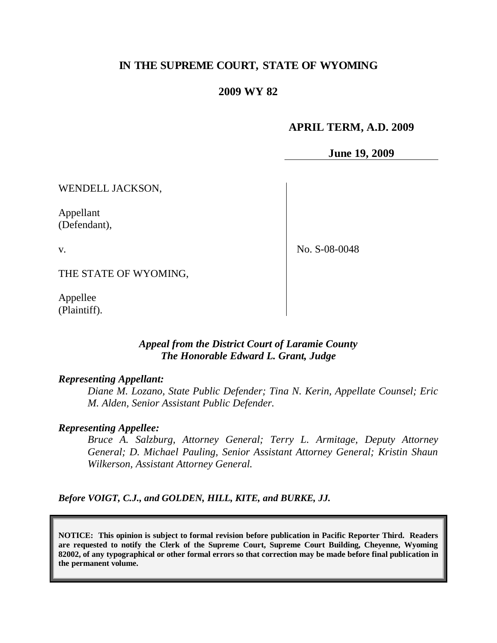# **IN THE SUPREME COURT, STATE OF WYOMING**

## **2009 WY 82**

### **APRIL TERM, A.D. 2009**

**June 19, 2009**

WENDELL JACKSON,

Appellant (Defendant),

v.

No. S-08-0048

THE STATE OF WYOMING,

Appellee (Plaintiff).

## *Appeal from the District Court of Laramie County The Honorable Edward L. Grant, Judge*

### *Representing Appellant:*

*Diane M. Lozano, State Public Defender; Tina N. Kerin, Appellate Counsel; Eric M. Alden, Senior Assistant Public Defender.*

#### *Representing Appellee:*

*Bruce A. Salzburg, Attorney General; Terry L. Armitage, Deputy Attorney General; D. Michael Pauling, Senior Assistant Attorney General; Kristin Shaun Wilkerson, Assistant Attorney General.*

*Before VOIGT, C.J., and GOLDEN, HILL, KITE, and BURKE, JJ.*

**NOTICE: This opinion is subject to formal revision before publication in Pacific Reporter Third. Readers are requested to notify the Clerk of the Supreme Court, Supreme Court Building, Cheyenne, Wyoming 82002, of any typographical or other formal errors so that correction may be made before final publication in the permanent volume.**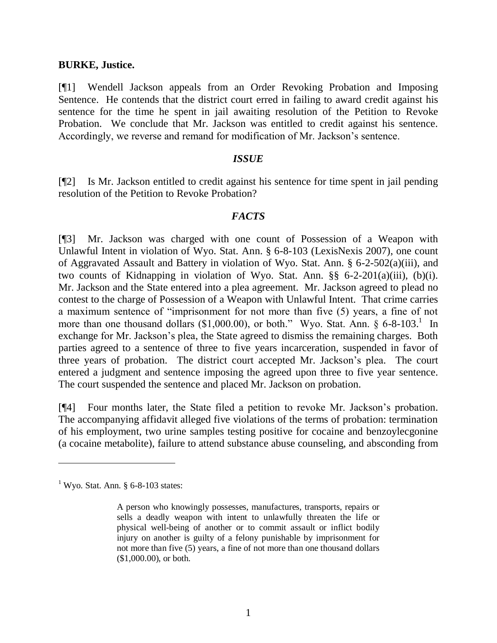#### **BURKE, Justice.**

[¶1] Wendell Jackson appeals from an Order Revoking Probation and Imposing Sentence. He contends that the district court erred in failing to award credit against his sentence for the time he spent in jail awaiting resolution of the Petition to Revoke Probation. We conclude that Mr. Jackson was entitled to credit against his sentence. Accordingly, we reverse and remand for modification of Mr. Jackson's sentence.

#### *ISSUE*

[¶2] Is Mr. Jackson entitled to credit against his sentence for time spent in jail pending resolution of the Petition to Revoke Probation?

## *FACTS*

[¶3] Mr. Jackson was charged with one count of Possession of a Weapon with Unlawful Intent in violation of Wyo. Stat. Ann. § 6-8-103 (LexisNexis 2007), one count of Aggravated Assault and Battery in violation of Wyo. Stat. Ann. § 6-2-502(a)(iii), and two counts of Kidnapping in violation of Wyo. Stat. Ann. §§ 6-2-201(a)(iii), (b)(i). Mr. Jackson and the State entered into a plea agreement. Mr. Jackson agreed to plead no contest to the charge of Possession of a Weapon with Unlawful Intent. That crime carries a maximum sentence of "imprisonment for not more than five (5) years, a fine of not more than one thousand dollars  $(\$1,000.00)$ , or both." Wyo. Stat. Ann.  $\S 6-8-103$ .<sup>1</sup> In exchange for Mr. Jackson's plea, the State agreed to dismiss the remaining charges. Both parties agreed to a sentence of three to five years incarceration, suspended in favor of three years of probation. The district court accepted Mr. Jackson's plea. The court entered a judgment and sentence imposing the agreed upon three to five year sentence. The court suspended the sentence and placed Mr. Jackson on probation.

[¶4] Four months later, the State filed a petition to revoke Mr. Jackson's probation. The accompanying affidavit alleged five violations of the terms of probation: termination of his employment, two urine samples testing positive for cocaine and benzoylecgonine (a cocaine metabolite), failure to attend substance abuse counseling, and absconding from

 $1$  Wyo. Stat. Ann. § 6-8-103 states:

A person who knowingly possesses, manufactures, transports, repairs or sells a deadly weapon with intent to unlawfully threaten the life or physical well-being of another or to commit assault or inflict bodily injury on another is guilty of a felony punishable by imprisonment for not more than five (5) years, a fine of not more than one thousand dollars (\$1,000.00), or both.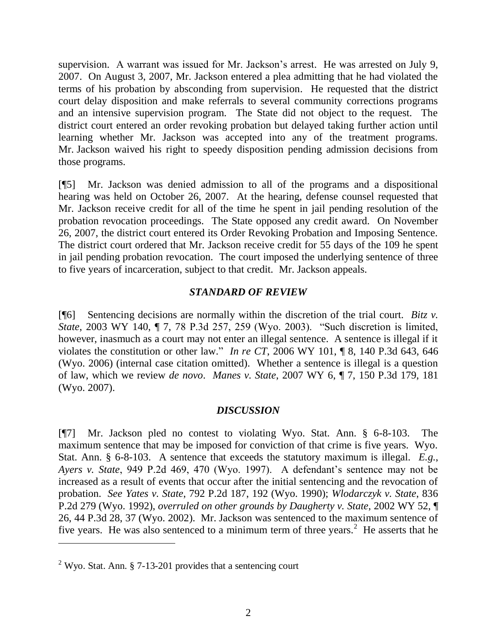supervision. A warrant was issued for Mr. Jackson's arrest. He was arrested on July 9, 2007. On August 3, 2007, Mr. Jackson entered a plea admitting that he had violated the terms of his probation by absconding from supervision. He requested that the district court delay disposition and make referrals to several community corrections programs and an intensive supervision program. The State did not object to the request. The district court entered an order revoking probation but delayed taking further action until learning whether Mr. Jackson was accepted into any of the treatment programs. Mr. Jackson waived his right to speedy disposition pending admission decisions from those programs.

[¶5] Mr. Jackson was denied admission to all of the programs and a dispositional hearing was held on October 26, 2007. At the hearing, defense counsel requested that Mr. Jackson receive credit for all of the time he spent in jail pending resolution of the probation revocation proceedings. The State opposed any credit award. On November 26, 2007, the district court entered its Order Revoking Probation and Imposing Sentence. The district court ordered that Mr. Jackson receive credit for 55 days of the 109 he spent in jail pending probation revocation. The court imposed the underlying sentence of three to five years of incarceration, subject to that credit. Mr. Jackson appeals.

## *STANDARD OF REVIEW*

[¶6] Sentencing decisions are normally within the discretion of the trial court. *Bitz v. State*, 2003 WY 140, ¶ 7, 78 P.3d 257, 259 (Wyo. 2003). "Such discretion is limited, however, inasmuch as a court may not enter an illegal sentence. A sentence is illegal if it violates the constitution or other law." *In re CT*, 2006 WY 101, ¶ 8, 140 P.3d 643, 646 (Wyo. 2006) (internal case citation omitted). Whether a sentence is illegal is a question of law, which we review *de novo*. *Manes v. State*, 2007 WY 6, ¶ 7, 150 P.3d 179, 181 (Wyo. 2007).

# *DISCUSSION*

[¶7] Mr. Jackson pled no contest to violating Wyo. Stat. Ann. § 6-8-103. The maximum sentence that may be imposed for conviction of that crime is five years. Wyo. Stat. Ann. § 6-8-103. A sentence that exceeds the statutory maximum is illegal. *E.g.*, *Ayers v. State*, 949 P.2d 469, 470 (Wyo. 1997). A defendant's sentence may not be increased as a result of events that occur after the initial sentencing and the revocation of probation. *See Yates v. State*, 792 P.2d 187, 192 (Wyo. 1990); *Wlodarczyk v. State*, 836 P.2d 279 (Wyo. 1992), *overruled on other grounds by Daugherty v. State*, 2002 WY 52, ¶ 26, 44 P.3d 28, 37 (Wyo. 2002). Mr. Jackson was sentenced to the maximum sentence of five years. He was also sentenced to a minimum term of three years.<sup>2</sup> He asserts that he

 $\overline{a}$ 

<sup>&</sup>lt;sup>2</sup> Wyo. Stat. Ann. § 7-13-201 provides that a sentencing court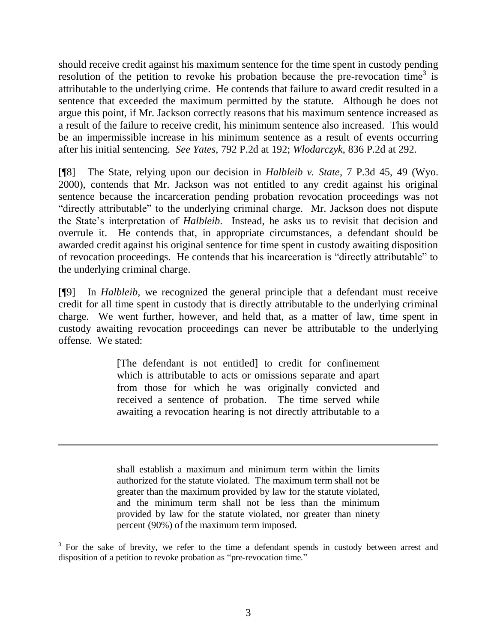should receive credit against his maximum sentence for the time spent in custody pending resolution of the petition to revoke his probation because the pre-revocation time<sup>3</sup> is attributable to the underlying crime. He contends that failure to award credit resulted in a sentence that exceeded the maximum permitted by the statute. Although he does not argue this point, if Mr. Jackson correctly reasons that his maximum sentence increased as a result of the failure to receive credit, his minimum sentence also increased. This would be an impermissible increase in his minimum sentence as a result of events occurring after his initial sentencing. *See Yates*, 792 P.2d at 192; *Wlodarczyk*, 836 P.2d at 292.

[¶8] The State, relying upon our decision in *Halbleib v. State*, 7 P.3d 45, 49 (Wyo. 2000), contends that Mr. Jackson was not entitled to any credit against his original sentence because the incarceration pending probation revocation proceedings was not "directly attributable" to the underlying criminal charge. Mr. Jackson does not dispute the State's interpretation of *Halbleib*. Instead, he asks us to revisit that decision and overrule it. He contends that, in appropriate circumstances, a defendant should be awarded credit against his original sentence for time spent in custody awaiting disposition of revocation proceedings. He contends that his incarceration is "directly attributable" to the underlying criminal charge.

[¶9] In *Halbleib*, we recognized the general principle that a defendant must receive credit for all time spent in custody that is directly attributable to the underlying criminal charge. We went further, however, and held that, as a matter of law, time spent in custody awaiting revocation proceedings can never be attributable to the underlying offense. We stated:

> [The defendant is not entitled] to credit for confinement which is attributable to acts or omissions separate and apart from those for which he was originally convicted and received a sentence of probation. The time served while awaiting a revocation hearing is not directly attributable to a

> shall establish a maximum and minimum term within the limits authorized for the statute violated. The maximum term shall not be greater than the maximum provided by law for the statute violated, and the minimum term shall not be less than the minimum provided by law for the statute violated, nor greater than ninety percent (90%) of the maximum term imposed.

 $\overline{a}$ 

<sup>3</sup> For the sake of brevity, we refer to the time a defendant spends in custody between arrest and disposition of a petition to revoke probation as "pre-revocation time."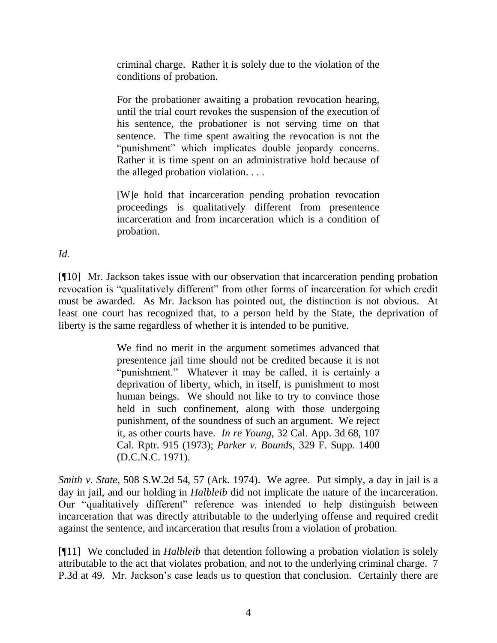criminal charge. Rather it is solely due to the violation of the conditions of probation.

For the probationer awaiting a probation revocation hearing, until the trial court revokes the suspension of the execution of his sentence, the probationer is not serving time on that sentence. The time spent awaiting the revocation is not the "punishment" which implicates double jeopardy concerns. Rather it is time spent on an administrative hold because of the alleged probation violation. . . .

[W]e hold that incarceration pending probation revocation proceedings is qualitatively different from presentence incarceration and from incarceration which is a condition of probation.

*Id.*

[¶10] Mr. Jackson takes issue with our observation that incarceration pending probation revocation is "qualitatively different" from other forms of incarceration for which credit must be awarded. As Mr. Jackson has pointed out, the distinction is not obvious. At least one court has recognized that, to a person held by the State, the deprivation of liberty is the same regardless of whether it is intended to be punitive.

> We find no merit in the argument sometimes advanced that presentence jail time should not be credited because it is not "punishment." Whatever it may be called, it is certainly a deprivation of liberty, which, in itself, is punishment to most human beings. We should not like to try to convince those held in such confinement, along with those undergoing punishment, of the soundness of such an argument. We reject it, as other courts have. *In re Young*, 32 Cal. App. 3d 68, 107 Cal. Rptr. 915 (1973); *Parker v. Bounds*, 329 F. Supp. 1400 (D.C.N.C. 1971).

*Smith v. State*, 508 S.W.2d 54, 57 (Ark. 1974). We agree. Put simply, a day in jail is a day in jail, and our holding in *Halbleib* did not implicate the nature of the incarceration. Our "qualitatively different" reference was intended to help distinguish between incarceration that was directly attributable to the underlying offense and required credit against the sentence, and incarceration that results from a violation of probation.

[¶11] We concluded in *Halbleib* that detention following a probation violation is solely attributable to the act that violates probation, and not to the underlying criminal charge. 7 P.3d at 49. Mr. Jackson's case leads us to question that conclusion. Certainly there are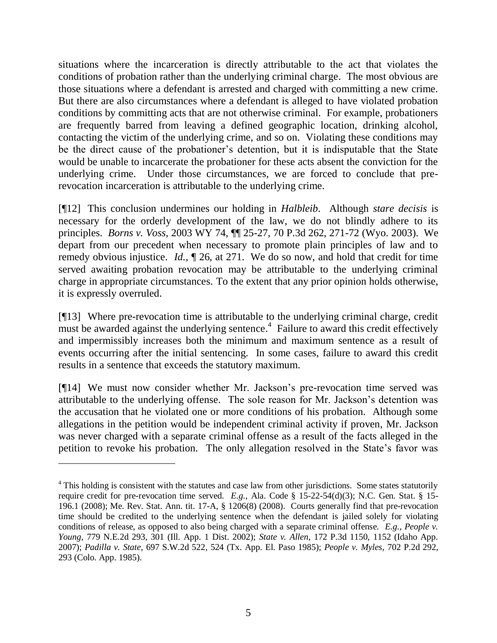situations where the incarceration is directly attributable to the act that violates the conditions of probation rather than the underlying criminal charge. The most obvious are those situations where a defendant is arrested and charged with committing a new crime. But there are also circumstances where a defendant is alleged to have violated probation conditions by committing acts that are not otherwise criminal. For example, probationers are frequently barred from leaving a defined geographic location, drinking alcohol, contacting the victim of the underlying crime, and so on. Violating these conditions may be the direct cause of the probationer's detention, but it is indisputable that the State would be unable to incarcerate the probationer for these acts absent the conviction for the underlying crime. Under those circumstances, we are forced to conclude that prerevocation incarceration is attributable to the underlying crime.

[¶12] This conclusion undermines our holding in *Halbleib*. Although *stare decisis* is necessary for the orderly development of the law, we do not blindly adhere to its principles. *Borns v. Voss*, 2003 WY 74, ¶¶ 25-27, 70 P.3d 262, 271-72 (Wyo. 2003). We depart from our precedent when necessary to promote plain principles of law and to remedy obvious injustice. *Id.*, ¶ 26, at 271. We do so now, and hold that credit for time served awaiting probation revocation may be attributable to the underlying criminal charge in appropriate circumstances. To the extent that any prior opinion holds otherwise, it is expressly overruled.

[¶13] Where pre-revocation time is attributable to the underlying criminal charge, credit must be awarded against the underlying sentence.<sup>4</sup> Failure to award this credit effectively and impermissibly increases both the minimum and maximum sentence as a result of events occurring after the initial sentencing. In some cases, failure to award this credit results in a sentence that exceeds the statutory maximum.

[¶14] We must now consider whether Mr. Jackson's pre-revocation time served was attributable to the underlying offense. The sole reason for Mr. Jackson's detention was the accusation that he violated one or more conditions of his probation. Although some allegations in the petition would be independent criminal activity if proven, Mr. Jackson was never charged with a separate criminal offense as a result of the facts alleged in the petition to revoke his probation. The only allegation resolved in the State's favor was

 $\overline{a}$ 

<sup>&</sup>lt;sup>4</sup> This holding is consistent with the statutes and case law from other jurisdictions. Some states statutorily require credit for pre-revocation time served. *E.g.*, Ala. Code § 15-22-54(d)(3); N.C. Gen. Stat. § 15- 196.1 (2008); Me. Rev. Stat. Ann. tit. 17-A, § 1206(8) (2008). Courts generally find that pre-revocation time should be credited to the underlying sentence when the defendant is jailed solely for violating conditions of release, as opposed to also being charged with a separate criminal offense. *E.g.*, *People v. Young*, 779 N.E.2d 293, 301 (Ill. App. 1 Dist. 2002); *State v. Allen*, 172 P.3d 1150, 1152 (Idaho App. 2007); *Padilla v. State*, 697 S.W.2d 522, 524 (Tx. App. El. Paso 1985); *People v. Myles*, 702 P.2d 292, 293 (Colo. App. 1985).